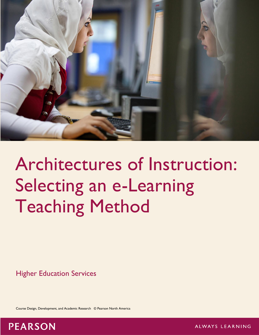

# Architectures of Instruction: Selecting an e-Learning Teaching Method

Higher Education Services

Course Design, Development, and Academic Research © Pearson North America

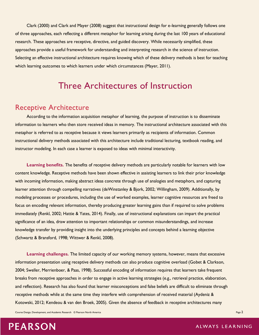Clark (2000) and Clark and Mayer (2008) suggest that instructional design for e-learning generally follows one of three approaches, each reflecting a different metaphor for learning arising during the last 100 years of educational research. These approaches are receptive, directive, and guided discovery. While necessarily simplified, these approaches provide a useful framework for understanding and interpreting research in the science of instruction. Selecting an effective instructional architecture requires knowing which of these delivery methods is best for teaching which learning outcomes to which learners under which circumstances (Mayer, 2011).

## Three Architectures of Instruction

### Receptive Architecture

According to the information acquisition metaphor of learning, the purpose of instruction is to disseminate information to learners who then store received ideas in memory. The instructional architecture associated with this metaphor is referred to as receptive because it views learners primarily as recipients of information. Common instructional delivery methods associated with this architecture include traditional lecturing, textbook reading, and instructor modeling. In each case a learner is exposed to ideas with minimal interactivity.

**Learning benefits.** The benefits of receptive delivery methods are particularly notable for learners with low content knowledge. Receptive methods have been shown effective in assisting learners to link their prior knowledge with incoming information, making abstract ideas concrete through use of analogies and metaphors, and capturing learner attention through compelling narratives (deWinstanley & Bjork, 2002; Willingham, 2009). Additionally, by modeling processes or procedures, including the use of worked examples, learner cognitive resources are freed to focus on encoding relevant information, thereby producing greater learning gains than if required to solve problems immediately (Renkl, 2002; Hattie & Yates, 2014). Finally, use of instructional explanations can impart the practical significance of an idea, draw attention to important relationships or common misunderstandings, and increase knowledge transfer by providing insight into the underlying principles and concepts behind a learning objective (Schwartz & Bransford, 1998; Wittwer & Renkl, 2008).

**Learning challenges.** The limited capacity of our working memory systems, however, means that excessive information presentation using receptive delivery methods can also produce cognitive overload (Gobet & Clarkson, 2004; Sweller, Merrienboer, & Paas, 1998). Successful encoding of information requires that learners take frequent breaks from receptive approaches in order to engage in active learning strategies (e.g., retrieval practice, elaboration, and reflection). Research has also found that learner misconceptions and false beliefs are difficult to eliminate through receptive methods while at the same time they interfere with comprehension of received material (Aydeniz & Kotowski, 2012; Kendeou & van den Broek, 2005). Given the absence of feedback in receptive architectures many

Course Design, Development, and Academic Research © Pearson North America Page 2 and 2008 and 2008 and 2008 and 2008 and 2008 and 2008 and 2008 and 2008 and 2008 and 2008 and 2008 and 2008 and 2008 and 2008 and 2008 and 20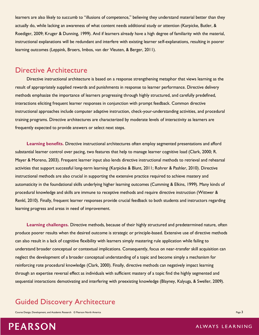learners are also likely to succumb to "illusions of competence," believing they understand material better than they actually do, while lacking an awareness of what content needs additional study or attention (Karpicke, Butler, & Roediger, 2009; Kruger & Dunning, 1999). And if learners already have a high degree of familiarity with the material, instructional explanations will be redundant and interfere with existing learner self-explanations, resulting in poorer learning outcomes (Leppink, Broers, Imbos, van der Vleuten, & Berger, 2011).

## Directive Architecture

Directive instructional architecture is based on a response strengthening metaphor that views learning as the result of appropriately supplied rewards and punishments in response to learner performance. Directive delivery methods emphasize the importance of learners progressing through highly structured, and carefully predefined, interactions eliciting frequent learner responses in conjunction with prompt feedback. Common directive instructional approaches include computer adaptive instruction, check-your-understanding activities, and procedural training programs. Directive architectures are characterized by moderate levels of interactivity as learners are frequently expected to provide answers or select next steps.

**Learning benefits.** Directive instructional architectures often employ segmented presentations and afford substantial learner control over pacing, two features that help to manage learner cognitive load (Clark, 2000; R. Mayer & Moreno, 2003). Frequent learner input also lends directive instructional methods to retrieval and rehearsal activities that support successful long-term learning (Karpicke & Blunt, 2011; Rohrer & Pashler, 2010). Directive instructional methods are also crucial in supporting the extensive practice required to achieve mastery and automaticity in the foundational skills underlying higher learning outcomes (Cumming & Elkins, 1999). Many kinds of procedural knowledge and skills are immune to receptive methods and require directive instruction (Wittwer & Renkl, 2010). Finally, frequent learner responses provide crucial feedback to both students and instructors regarding learning progress and areas in need of improvement.

**Learning challenges.** Directive methods, because of their highly structured and predetermined nature, often produce poorer results when the desired outcome is strategic or principle-based. Extensive use of directive methods can also result in a lack of cognitive flexibility with learners simply mastering rule application while failing to understand broader conceptual or contextual implications. Consequently, focus on near-transfer skill acquisition can neglect the development of a broader conceptual understanding of a topic and become simply a mechanism for reinforcing rote procedural knowledge (Clark, 2000). Finally, directive methods can negatively impact learning through an expertise reversal effect as individuals with sufficient mastery of a topic find the highly segmented and sequential interactions demotivating and interfering with preexisting knowledge (Blayney, Kalyuga, & Sweller, 2009).

## Guided Discovery Architecture

Course Design, Development, and Academic Research © Pearson North America **Page 3** and Course Page 3 and 2011 and 2012 and 2013 and 2013 and 2013 and 2013 and 2013 and 2013 and 2013 and 2013 and 2013 and 2013 and 2013 and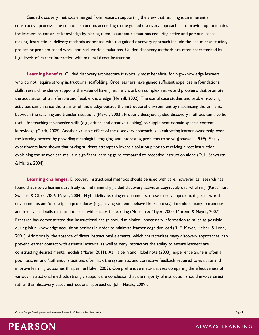Guided discovery methods emerged from research supporting the view that learning is an inherently constructive process. The role of instruction, according to the guided discovery approach, is to provide opportunities for learners to construct knowledge by placing them in authentic situations requiring active and personal sensemaking. Instructional delivery methods associated with the guided discovery approach include the use of case studies, project or problem-based work, and real-world simulations. Guided discovery methods are often characterized by high levels of learner interaction with minimal direct instruction.

**Learning benefits.** Guided discovery architecture is typically most beneficial for high-knowledge learners who do not require strong instructional scaffolding. Once learners have gained sufficient expertise in foundational skills, research evidence supports the value of having learners work on complex real-world problems that promote the acquisition of transferable and flexible knowledge (Merrill, 2002). The use of case studies and problem-solving activities can enhance the transfer of knowledge outside the instructional environment by maximizing the similarity between the teaching and transfer situations (Mayer, 2002). Properly designed guided discovery methods can also be useful for teaching far-transfer skills (e.g., critical and creative thinking) to supplement domain specific content knowledge (Clark, 2005). Another valuable effect of the discovery approach is in cultivating learner ownership over the learning process by providing meaningful, engaging, and interesting problems to solve (Jonassen, 1999). Finally, experiments have shown that having students attempt to invent a solution prior to receiving direct instruction explaining the answer can result in significant learning gains compared to receptive instruction alone (D. L. Schwartz & Martin, 2004).

**Learning challenges.** Discovery instructional methods should be used with care, however, as research has found that novice learners are likely to find minimally guided discovery activities cognitively overwhelming (Kirschner, Sweller, & Clark, 2006; Mayer, 2004). High fidelity learning environments, those closely approximating real-world environments and/or discipline procedures (e.g., having students behave like scientists), introduce many extraneous and irrelevant details that can interfere with successful learning (Moreno & Mayer, 2000; Moreno & Mayer, 2002). Research has demonstrated that instructional design should minimize unnecessary information as much as possible during initial knowledge acquisition periods in order to minimize learner cognitive load (R. E. Mayer, Heiser, & Lonn, 2001). Additionally, the absence of direct instructional elements, which characterizes many discovery approaches, can prevent learner contact with essential material as well as deny instructors the ability to ensure learners are constructing desired mental models (Mayer, 2011). As Halpern and Hakel note (2003), experience alone is often a poor teacher and 'authentic' situations often lack the systematic and corrective feedback required to evaluate and improve learning outcomes (Halpern & Hakel, 2003). Comprehensive meta-analyses comparing the effectiveness of various instructional methods strongly support the conclusion that the majority of instruction should involve direct rather than discovery-based instructional approaches (John Hattie, 2009).

Course Design, Development, and Academic Research © Pearson North America Page 4 and 2008 and 2008 and 2008 and 2008 and 2008 and 2008 and 2008 and 2008 and 2008 and 2008 and 2008 and 2008 and 2008 and 2008 and 2008 and 20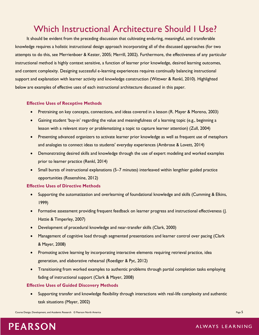# Which Instructional Architecture Should I Use?

It should be evident from the preceding discussion that cultivating enduring, meaningful, and transferable knowledge requires a holistic instructional design approach incorporating all of the discussed approaches (for two attempts to do this, see Merrienboer & Kester, 2005; Merrill, 2002). Furthermore, the effectiveness of any particular instructional method is highly context sensitive, a function of learner prior knowledge, desired learning outcomes, and content complexity. Designing successful e-learning experiences requires continually balancing instructional support and explanation with learner activity and knowledge construction (Wittwer & Renkl, 2010). Highlighted below are examples of effective uses of each instructional architecture discussed in this paper.

#### **Effective Uses of Receptive Methods**

- Pretraining on key concepts, connections, and ideas covered in a lesson (R. Mayer & Moreno, 2003)
- Gaining student 'buy-in' regarding the value and meaningfulness of a learning topic (e.g., beginning a lesson with a relevant story or problematizing a topic to capture learner attention) (Zull, 2004)
- Presenting advanced organizers to activate learner prior knowledge as well as frequent use of metaphors and analogies to connect ideas to students' everyday experiences (Ambrose & Lovett, 2014)
- Demonstrating desired skills and knowledge through the use of expert modeling and worked examples prior to learner practice (Renkl, 2014)
- Small bursts of instructional explanations (5–7 minutes) interleaved within lengthier guided practice opportunities (Rosenshine, 2012)

#### **Effective Uses of Directive Methods**

- Supporting the automatization and overlearning of foundational knowledge and skills (Cumming & Elkins, 1999)
- Formative assessment providing frequent feedback on learner progress and instructional effectiveness (J. Hattie & Timperley, 2007)
- Development of procedural knowledge and near-transfer skills (Clark, 2000)
- Management of cognitive load through segmented presentations and learner control over pacing (Clark & Mayer, 2008)
- Promoting active learning by incorporating interactive elements requiring retrieval practice, idea generation, and elaborative rehearsal (Roediger & Pyc, 2012)
- Transitioning from worked examples to authentic problems through partial completion tasks employing fading of instructional support (Clark & Mayer, 2008)

#### **Effective Uses of Guided Discovery Methods**

 Supporting transfer and knowledge flexibility through interactions with real-life complexity and authentic task situations (Mayer, 2002)

Course Design, Development, and Academic Research © Pearson North America **Page 5** and Course of Page 5 and 2008 and 2008 and 2008 and 2008 and 2008 and 2008 and 2008 and 2008 and 2008 and 2008 and 2008 and 2008 and 2008 a

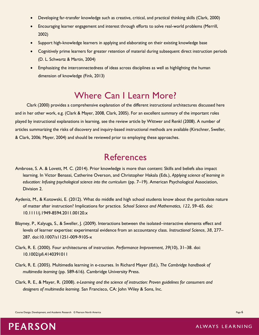- Developing far-transfer knowledge such as creative, critical, and practical thinking skills (Clark, 2000)
- Encouraging learner engagement and interest through efforts to solve real-world problems (Merrill, 2002)
- Support high-knowledge learners in applying and elaborating on their existing knowledge base
- Cognitively prime learners for greater retention of material during subsequent direct instruction periods (D. L. Schwartz & Martin, 2004)
- Emphasizing the interconnectedness of ideas across disciplines as well as highlighting the human dimension of knowledge (Fink, 2013)

# Where Can I Learn More?

Clark (2000) provides a comprehensive explanation of the different instructional architectures discussed here and in her other work, e.g. (Clark & Mayer, 2008, Clark, 2005). For an excellent summary of the important roles played by instructional explanations in learning, see the review article by Wittwer and Renkl (2008). A number of articles summarizing the risks of discovery and inquiry-based instructional methods are available (Kirschner, Sweller, & Clark, 2006; Mayer, 2004) and should be reviewed prior to employing these approaches.

## References

- Ambrose, S. A. & Lovett, M. C. (2014). Prior knowledge is more than content: Skills and beliefs also impact learning. In Victor Benassi, Catherine Overson, and Christopher Hakala (Eds.), *Applying science of learning in education: Infusing psychological science into the curriculum* (pp. 7–19). American Psychological Association, Division 2.
- Aydeniz, M., & Kotowski, E. (2012). What do middle and high school students know about the particulate nature of matter after instruction? Implications for practice. *School Science and Mathematics*, *122*, 59–65. doi: 10.1111/j.1949-8594.2011.00120.x
- Blayney, P., Kalyuga, S., & Sweller, J. (2009). Interactions between the isolated–interactive elements effect and levels of learner expertise: experimental evidence from an accountancy class. *Instructional Science*, *38*, 277– 287. doi:10.1007/s11251-009-9105-x
- Clark, R. E. (2000). Four architectures of instruction. *Performance Improvement*, *39*(10), 31–38. doi: 10.1002/pfi.4140391011
- Clark, R. E. (2005). Multimedia learning in e-courses. In Richard Mayer (Ed.), *The Cambridge handbook of multimedia learning* (pp. 589-616). Cambridge University Press.
- Clark, R. E., & Mayer, R. (2008). *e-Learning and the science of instruction: Proven guidelines for consumers and designers of multimedia learning*. San Francisco, CA: John Wiley & Sons, Inc.

Course Design, Development, and Academic Research © Pearson North America Page 6 and 2008 and 2008 and 2008 and 2008 and 2008 and 2008 and 2008 and 2008 and 2008 and 2008 and 2008 and 2008 and 2008 and 2008 and 2008 and 20

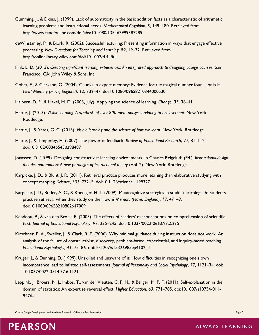- Cumming, J., & Elkins, J. (1999). Lack of automaticity in the basic addition facts as a characteristic of arithmetic learning problems and instructional needs. *Mathematical Cognition*, *5*, 149–180. Retrieved from http://www.tandfonline.com/doi/abs/10.1080/135467999387289
- deWinstanley, P., & Bjork, R. (2002). Successful lecturing: Presenting information in ways that engage effective processing. *New Directions for Teaching and Learning, 89*, 19–32. Retrieved from http://onlinelibrary.wiley.com/doi/10.1002/tl.44/full
- Fink, L. D. (2013). *Creating significant learning experiences: An integrated approach to designing college courses*. San Francisco, CA: John Wiley & Sons, Inc.
- Gobet, F., & Clarkson, G. (2004). Chunks in expert memory: Evidence for the magical number four ... or is it two? *Memory (Hove, England)*, *12*, 732–47. doi:10.1080/09658210344000530
- Halpern, D. F., & Hakel, M. D. (2003, July). Applying the science of learning. *Change*, *35*, 36–41.
- Hattie, J. (2013). *Visible learning: A synthesis of over 800 meta-analyses relating to achievement*. New York: Routledge.
- Hattie, J., & Yates, G. C. (2013). *Visible learning and the science of how we learn*. New York: Routledge.
- Hattie, J., & Timperley, H. (2007). The power of feedback. *Review of Educational Research*, *77*, 81–112. doi:10.3102/003465430298487
- Jonassen, D. (1999). Designing constructivist learning environments. In Charles Reigeluth (Ed.), *Instructional-design theories and models: A new paradigm of instructional theory* (Vol. 2). New York: Routledge.
- Karpicke, J. D., & Blunt, J. R. (2011). Retrieval practice produces more learning than elaborative studying with concept mapping. *Science*, *331*, 772–5. doi:10.1126/science.1199327
- Karpicke, J. D., Butler, A. C., & Roediger, H. L. (2009). Metacognitive strategies in student learning: Do students practise retrieval when they study on their own? *Memory (Hove, England)*, *17*, 471–9. doi:10.1080/09658210802647009
- Kendeou, P., & van den Broek, P. (2005). The effects of readers' misconceptions on comprehension of scientific text. *Journal of Educational Psychology*, *97*, 235–245. doi:10.1037/0022-0663.97.2.235
- Kirschner, P. A., Sweller, J., & Clark, R. E. (2006). Why minimal guidance during instruction does not work: An analysis of the failure of constructivist, discovery, problem-based, experiential, and inquiry-based teaching. *Educational Psychologist, 41*, 75–86. doi:10.1207/s15326985ep4102\_1
- Kruger, J., & Dunning, D. (1999). Unskilled and unaware of it: How difficulties in recognizing one's own incompetence lead to inflated self-assessments. *Journal of Personality and Social Psychology*, *77*, 1121–34. doi: 10.1037/0022-3514.77.6.1121
- Leppink, J., Broers, N. J., Imbos, T., van der Vleuten, C. P. M., & Berger, M. P. F. (2011). Self-explanation in the domain of statistics: An expertise reversal effect. *Higher Education*, *63*, 771–785. doi:10.1007/s10734-011- 9476-1

Course Design, Development, and Academic Research © Pearson North America Page 7 (2002) and 2008 and 2009 and 2009 and 2009 and 2009 and 2009 and 2009 and 2009 and 2009 and 2009 and 2009 and 2009 and 2009 and 2009 and 2009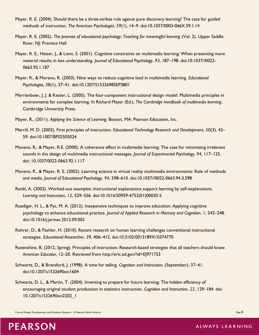- Mayer, R. E. (2004). Should there be a three-strikes rule against pure discovery learning? The case for guided methods of instruction. *The American Psychologist*, *59*(1), 14–9. doi:10.1037/0003-066X.59.1.14
- Mayer, R. E. (2002). *The promise of educational psychology: Teaching for meaningful learning* (Vol. 2). Upper Saddle River, NJ: Prentice Hall.
- Mayer, R. E., Heiser, J., & Lonn, S. (2001). Cognitive constraints on multimedia learning: When presenting more material results in less understanding. *Journal of Educational Psychology*, *93*, 187–198. doi:10.1037//0022- 0663.93.1.187
- Mayer, R., & Moreno, R. (2003). Nine ways to reduce cognitive load in multimedia learning. *Educational Psychologist*, *38*(1), 37–41. doi:10.1207/S15326985EP3801
- Merrienboer, J. J. & Kester, L. (2005). The four-component instructional design model: Multimedia principles in environments for complex learning. In Richard Mayer (Ed.), *The Cambridge handbook of multimedia learning*. Cambridge University Press.
- Mayer, R., (2011). *Applying the Science of Learning.* Boston, MA: Pearson Education, Inc.
- Merrill, M. D. (2002). First principles of instruction. *Educational Technology Research and Development*, *50*(3), 43– 59. doi:10.1007/BF02505024
- Moreno, R., & Mayer, R.E. (2000). A coherence effect in multimedia learning: The case for minimizing irrelevant sounds in the design of multimedia instructional messages. *Journal of Experimental Psychology, 94,* 117–125. doi: 10.1037/0022-0663.92.1.117
- Moreno, R., & Mayer, R. E. (2002). Learning science in virtual reality multimedia environments: Role of methods and media. *Journal of Educational Psychology*, *94*, 598–610. doi:10.1037//0022-0663.94.3.598
- Renkl, A. (2002). Worked-out examples: Instructional explanations support learning by self-explanations. *Learning and Instruction*, *12*, 529–556. doi:10.1016/S0959-4752(01)00030-5
- Roediger, H. L., & Pyc, M. A. (2012). Inexpensive techniques to improve education: Applying cognitive psychology to enhance educational practice. *Journal of Applied Research in Memory and Cognition*, *1*, 242–248. doi:10.1016/j.jarmac.2012.09.002
- Rohrer, D., & Pashler, H. (2010). Recent research on human learning challenges conventional instructional strategies. *Educational Researcher*, *39*, 406–412. doi:10.3102/0013189X10374770
- Rosenshine, B. (2012, Spring). Principles of instruction: Research-based strategies that all teachers should know. *American Educator*, 12–20. Retrieved from http://eric.ed.gov/?id=EJ971753
- Schwartz, D., & Bransford, J. (1998). A time for telling. *Cognition and Instruction*, (September), 37–41. doi:10.1207/s1532690xci1604
- Schwartz, D. L., & Martin, T. (2004). Inventing to prepare for future learning: The hidden efficiency of encouraging original student production in statistics instruction. *Cognition and Instruction*, *22*, 129–184. doi: 10.1207/s1532690xci2202\_1

Course Design, Development, and Academic Research © Pearson North America **Page 8** and Course Page 8 and Course of the America Page 8 and Course of the America Page 8 and Course of the America Page 8 and Course of the Amer